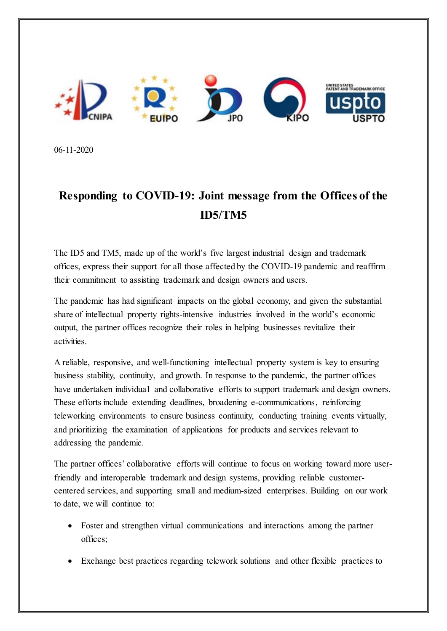

06-11-2020

## **Responding to COVID-19: Joint message from the Offices of the ID5/TM5**

The ID5 and TM5, made up of the world's five largest industrial design and trademark offices, express their support for all those affected by the COVID-19 pandemic and reaffirm their commitment to assisting trademark and design owners and users.

The pandemic has had significant impacts on the global economy, and given the substantial share of intellectual property rights-intensive industries involved in the world's economic output, the partner offices recognize their roles in helping businesses revitalize their activities.

A reliable, responsive, and well-functioning intellectual property system is key to ensuring business stability, continuity, and growth. In response to the pandemic, the partner offices have undertaken individual and collaborative efforts to support trademark and design owners. These efforts include extending deadlines, broadening e-communications, reinforcing teleworking environments to ensure business continuity, conducting training events virtually, and prioritizing the examination of applications for products and services relevant to addressing the pandemic.

The partner offices' collaborative efforts will continue to focus on working toward more userfriendly and interoperable trademark and design systems, providing reliable customercentered services, and supporting small and medium-sized enterprises. Building on our work to date, we will continue to:

- Foster and strengthen virtual communications and interactions among the partner offices;
- Exchange best practices regarding telework solutions and other flexible practices to